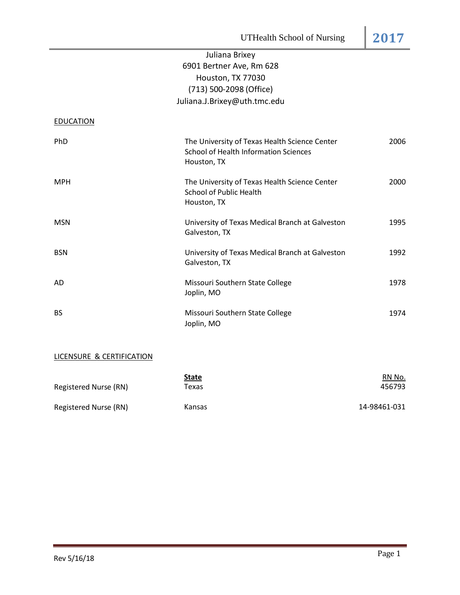# Juliana Brixey 6901 Bertner Ave, Rm 628 Houston, TX 77030 (713) 500-2098 (Office[\)](mailto:Juliana.J.Brixey@uth.tmc.edu) [Juliana.J.Brixey@uth.tmc.edu](mailto:Juliana.J.Brixey@uth.tmc.edu)

**EDUCATION** 

| PhD        | The University of Texas Health Science Center<br><b>School of Health Information Sciences</b><br>Houston, TX | 2006 |
|------------|--------------------------------------------------------------------------------------------------------------|------|
| <b>MPH</b> | The University of Texas Health Science Center<br><b>School of Public Health</b><br>Houston, TX               | 2000 |
| <b>MSN</b> | University of Texas Medical Branch at Galveston<br>Galveston, TX                                             | 1995 |
| <b>BSN</b> | University of Texas Medical Branch at Galveston<br>Galveston, TX                                             | 1992 |
| AD         | Missouri Southern State College<br>Joplin, MO                                                                | 1978 |
| <b>BS</b>  | Missouri Southern State College<br>Joplin, MO                                                                | 1974 |

# LICENSURE & CERTIFICATION

| Registered Nurse (RN) | <b>State</b><br>Texas | RN No.<br>456793 |
|-----------------------|-----------------------|------------------|
| Registered Nurse (RN) | <b>Kansas</b>         | 14-98461-031     |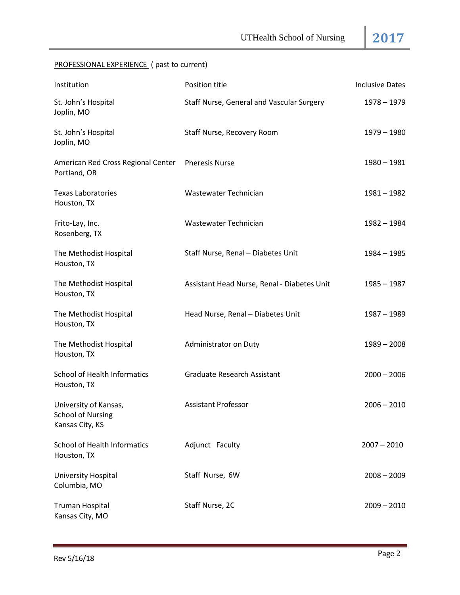# PROFESSIONAL EXPERIENCE ( past to current)

| Institution                                                          | Position title                              | <b>Inclusive Dates</b> |
|----------------------------------------------------------------------|---------------------------------------------|------------------------|
| St. John's Hospital<br>Joplin, MO                                    | Staff Nurse, General and Vascular Surgery   | $1978 - 1979$          |
| St. John's Hospital<br>Joplin, MO                                    | Staff Nurse, Recovery Room                  | $1979 - 1980$          |
| American Red Cross Regional Center<br>Portland, OR                   | <b>Pheresis Nurse</b>                       | $1980 - 1981$          |
| <b>Texas Laboratories</b><br>Houston, TX                             | Wastewater Technician                       | $1981 - 1982$          |
| Frito-Lay, Inc.<br>Rosenberg, TX                                     | Wastewater Technician                       | $1982 - 1984$          |
| The Methodist Hospital<br>Houston, TX                                | Staff Nurse, Renal - Diabetes Unit          | $1984 - 1985$          |
| The Methodist Hospital<br>Houston, TX                                | Assistant Head Nurse, Renal - Diabetes Unit | $1985 - 1987$          |
| The Methodist Hospital<br>Houston, TX                                | Head Nurse, Renal - Diabetes Unit           | $1987 - 1989$          |
| The Methodist Hospital<br>Houston, TX                                | Administrator on Duty                       | $1989 - 2008$          |
| <b>School of Health Informatics</b><br>Houston, TX                   | <b>Graduate Research Assistant</b>          | $2000 - 2006$          |
| University of Kansas,<br><b>School of Nursing</b><br>Kansas City, KS | <b>Assistant Professor</b>                  | $2006 - 2010$          |
| <b>School of Health Informatics</b><br>Houston, TX                   | Adjunct Faculty                             | $2007 - 2010$          |
| University Hospital<br>Columbia, MO                                  | Staff Nurse, 6W                             | $2008 - 2009$          |
| <b>Truman Hospital</b><br>Kansas City, MO                            | Staff Nurse, 2C                             | $2009 - 2010$          |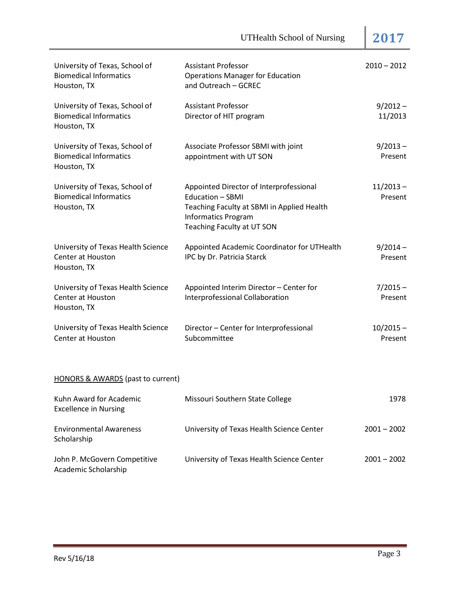| University of Texas, School of<br><b>Biomedical Informatics</b><br>Houston, TX | <b>Assistant Professor</b><br><b>Operations Manager for Education</b><br>and Outreach - GCREC                                                                         | $2010 - 2012$          |
|--------------------------------------------------------------------------------|-----------------------------------------------------------------------------------------------------------------------------------------------------------------------|------------------------|
| University of Texas, School of<br><b>Biomedical Informatics</b><br>Houston, TX | <b>Assistant Professor</b><br>Director of HIT program                                                                                                                 | $9/2012 -$<br>11/2013  |
| University of Texas, School of<br><b>Biomedical Informatics</b><br>Houston, TX | Associate Professor SBMI with joint<br>appointment with UT SON                                                                                                        | $9/2013 -$<br>Present  |
| University of Texas, School of<br><b>Biomedical Informatics</b><br>Houston, TX | Appointed Director of Interprofessional<br>Education - SBMI<br>Teaching Faculty at SBMI in Applied Health<br><b>Informatics Program</b><br>Teaching Faculty at UT SON | $11/2013 -$<br>Present |
| University of Texas Health Science<br>Center at Houston<br>Houston, TX         | Appointed Academic Coordinator for UTHealth<br>IPC by Dr. Patricia Starck                                                                                             | $9/2014 -$<br>Present  |
| University of Texas Health Science<br><b>Center at Houston</b><br>Houston, TX  | Appointed Interim Director - Center for<br>Interprofessional Collaboration                                                                                            | $7/2015 -$<br>Present  |
| University of Texas Health Science<br>Center at Houston                        | Director - Center for Interprofessional<br>Subcommittee                                                                                                               | $10/2015 -$<br>Present |
| <b>HONORS &amp; AWARDS</b> (past to current)                                   |                                                                                                                                                                       |                        |
| Kuhn Award for Academic<br><b>Excellence in Nursing</b>                        | Missouri Southern State College                                                                                                                                       | 1978                   |
| <b>Environmental Awareness</b><br>Scholarship                                  | University of Texas Health Science Center                                                                                                                             | $2001 - 2002$          |
| John P. McGovern Competitive<br>Academic Scholarship                           | University of Texas Health Science Center                                                                                                                             | $2001 - 2002$          |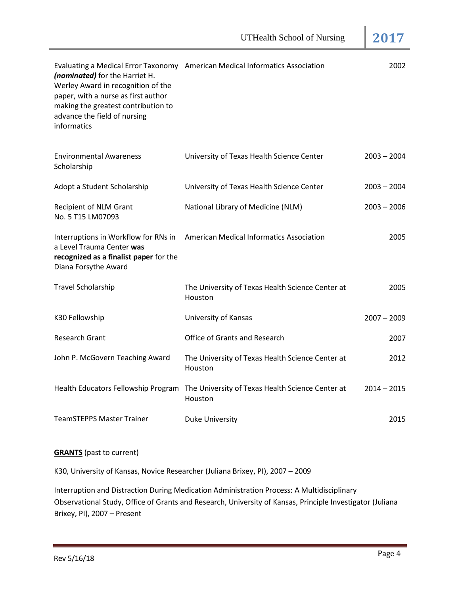| (nominated) for the Harriet H.<br>Werley Award in recognition of the<br>paper, with a nurse as first author<br>making the greatest contribution to<br>advance the field of nursing<br>informatics | Evaluating a Medical Error Taxonomy American Medical Informatics Association | 2002          |
|---------------------------------------------------------------------------------------------------------------------------------------------------------------------------------------------------|------------------------------------------------------------------------------|---------------|
| <b>Environmental Awareness</b><br>Scholarship                                                                                                                                                     | University of Texas Health Science Center                                    | $2003 - 2004$ |
| Adopt a Student Scholarship                                                                                                                                                                       | University of Texas Health Science Center                                    | $2003 - 2004$ |
| Recipient of NLM Grant<br>No. 5 T15 LM07093                                                                                                                                                       | National Library of Medicine (NLM)                                           | $2003 - 2006$ |
| Interruptions in Workflow for RNs in<br>a Level Trauma Center was<br>recognized as a finalist paper for the<br>Diana Forsythe Award                                                               | <b>American Medical Informatics Association</b>                              | 2005          |
| <b>Travel Scholarship</b>                                                                                                                                                                         | The University of Texas Health Science Center at<br>Houston                  | 2005          |
| K30 Fellowship                                                                                                                                                                                    | University of Kansas                                                         | $2007 - 2009$ |
| <b>Research Grant</b>                                                                                                                                                                             | Office of Grants and Research                                                | 2007          |
| John P. McGovern Teaching Award                                                                                                                                                                   | The University of Texas Health Science Center at<br>Houston                  | 2012          |
| Health Educators Fellowship Program                                                                                                                                                               | The University of Texas Health Science Center at<br>Houston                  | $2014 - 2015$ |
| <b>TeamSTEPPS Master Trainer</b>                                                                                                                                                                  | <b>Duke University</b>                                                       | 2015          |

## **GRANTS** (past to current)

K30, University of Kansas, Novice Researcher (Juliana Brixey, PI), 2007 – 2009

Interruption and Distraction During Medication Administration Process: A Multidisciplinary Observational Study, Office of Grants and Research, University of Kansas, Principle Investigator (Juliana Brixey, PI), 2007 – Present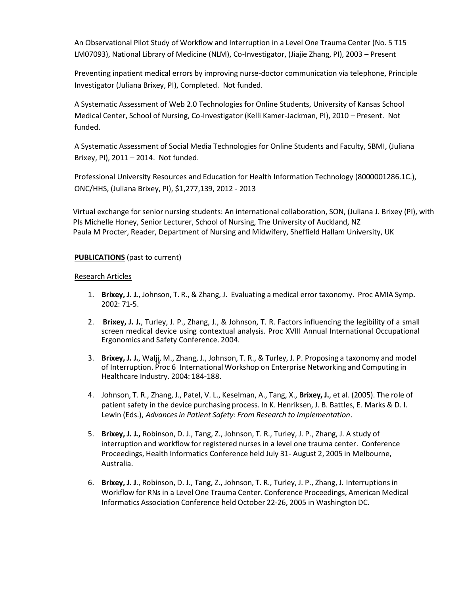An Observational Pilot Study of Workflow and Interruption in a Level One Trauma Center (No. 5 T15 LM07093), National Library of Medicine (NLM), Co-Investigator, (Jiajie Zhang, PI), 2003 – Present

Preventing inpatient medical errors by improving nurse-doctor communication via telephone, Principle Investigator (Juliana Brixey, PI), Completed. Not funded.

A Systematic Assessment of Web 2.0 Technologies for Online Students, University of Kansas School Medical Center, School of Nursing, Co-Investigator (Kelli Kamer-Jackman, PI), 2010 – Present. Not funded.

A Systematic Assessment of Social Media Technologies for Online Students and Faculty, SBMI, (Juliana Brixey, PI), 2011 – 2014. Not funded.

Professional University Resources and Education for Health Information Technology (8000001286.1C.), ONC/HHS, (Juliana Brixey, PI), \$1,277,139, 2012 - 2013

Virtual exchange for senior nursing students: An international collaboration, SON, (Juliana J. Brixey (PI), with PIs Michelle Honey, Senior Lecturer, School of Nursing, The University of Auckland, NZ Paula M Procter, Reader, Department of Nursing and Midwifery, Sheffield Hallam University, UK

## **PUBLICATIONS** (past to current)

### Research Articles

- 1. **Brixey, J. J.**, Johnson, T. R., & Zhang, J. Evaluating a medical error taxonomy. Proc AMIA Symp. 2002: 71-5.
- 2. **Brixey, J. J.**, Turley, J. P., Zhang, J., & Johnson, T. R. Factors influencing the legibility of a small screen medical device using contextual analysis. Proc XVIII Annual International Occupational Ergonomics and Safety Conference. 2004.
- th of Interruption. Proc 6 International Workshop on Enterprise Networking and Computing in 3. **Brixey, J. J.**, Walji, M., Zhang, J., Johnson, T. R., & Turley, J. P. Proposing a taxonomy and model Healthcare Industry. 2004: 184-188.
- 4. Johnson, T. R., Zhang, J., Patel, V. L., Keselman, A., Tang, X., **Brixey, J.**, et al. (2005). The role of patient safety in the device purchasing process. In K. Henriksen, J. B. Battles, E. Marks & D. I. Lewin (Eds.), *Advancesin Patient Safety: From Research to Implementation*.
- 5. **Brixey, J. J.,** Robinson, D. J., Tang, Z., Johnson, T. R., Turley, J. P., Zhang, J. A study of interruption and workflow for registered nurses in a level one trauma center. Conference Proceedings, Health Informatics Conference held July 31- August 2, 2005 in Melbourne, Australia.
- 6. **Brixey, J. J**., Robinson, D. J., Tang, Z., Johnson, T. R., Turley, J. P., Zhang, J. Interruptionsin Workflow for RNs in a Level One Trauma Center. Conference Proceedings, American Medical Informatics Association Conference held October 22-26, 2005 in Washington DC.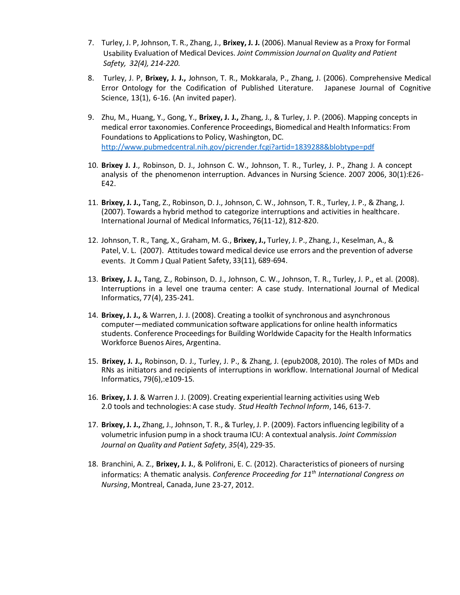- 7. Turley, J. P, Johnson, T. R., Zhang, J., **Brixey, J. J.** (2006). Manual Review as a Proxy for Formal Usability Evaluation of Medical Devices. *Joint Commission Journal on Quality and Patient Safety, 32(4), 214-220.*
- 8. Turley, J. P, **Brixey, J. J.,** Johnson, T. R., Mokkarala, P., Zhang, J. (2006). Comprehensive Medical Error Ontology for the Codification of Published Literature. Japanese Journal of Cognitive Science, 13(1), 6-16. (An invited paper).
- 9. Zhu, M., Huang, Y., Gong, Y., **Brixey, J. J.,** Zhang, J., & Turley, J. P. (2006). Mapping concepts in medical error taxonomies. Conference Proceedings, Biomedical and Health Informatics: From Foundations to Applicationsto Policy, Washington, DC. [http://www.pubmedcentral.nih.gov/picrender.fcgi?artid=1839288&blobtype=pdf](http://www.pubmedcentral.nih.gov/picrender.fcgi?artid=1839288&amp%3Bamp%3Bblobtype=pdf)
- 10. **Brixey J. J**., Robinson, D. J., Johnson C. W., Johnson, T. R., Turley, J. P., Zhang J. A concept analysis of the phenomenon interruption. Advances in Nursing Science. 2007 2006, 30(1):E26- E42.
- 11. **Brixey, J. J.,** Tang, Z., Robinson, D. J., Johnson, C. W., Johnson, T. R., Turley, J. P., & Zhang, J. (2007). Towards a hybrid method to categorize interruptions and activities in healthcare. International Journal of Medical Informatics, 76(11-12), 812-820.
- 12. Johnson, T. R., Tang, X., Graham, M. G., **Brixey, J.,** Turley, J. P., Zhang, J., Keselman, A., & Patel, V. L. (2007). Attitudes toward medical device use errors and the prevention of adverse events. Jt Comm J Qual Patient Safety, 33(11), 689-694.
- 13. **Brixey, J. J.,** Tang, Z., Robinson, D. J., Johnson, C. W., Johnson, T. R., Turley, J. P., et al. (2008). Interruptions in a level one trauma center: A case study. International Journal of Medical Informatics, 77(4), 235-241.
- 14. **Brixey, J. J.,** & Warren, J. J. (2008). Creating a toolkit of synchronous and asynchronous computer—mediated communication software applicationsfor online health informatics students. Conference Proceedings for Building Worldwide Capacity for the Health Informatics Workforce Buenos Aires, Argentina.
- 15. **Brixey, J. J.,** Robinson, D. J., Turley, J. P., & Zhang, J. (epub2008, 2010). The roles of MDs and RNs as initiators and recipients of interruptions in workflow. International Journal of Medical Informatics, 79(6),:e109-15.
- 16. **Brixey, J. J**. & Warren J. J. (2009). Creating experiential learning activities using Web 2.0 tools and technologies: A case study. *Stud Health Technol Inform*, 146, 613-7.
- 17. **Brixey, J. J.,** Zhang, J., Johnson, T. R., & Turley, J. P. (2009). Factors influencing legibility of a volumetric infusion pump in a shock trauma ICU: A contextual analysis. *Joint Commission Journal on Quality and Patient Safety*, *35*(4), 229-35.
- 18. Branchini, A. Z., **Brixey, J. J.**, & Polifroni, E. C. (2012). Characteristics of pioneers of nursing informatics: A thematic analysis. *Conference Proceeding for 11th International Congress on Nursing*, Montreal, Canada, June 23-27, 2012.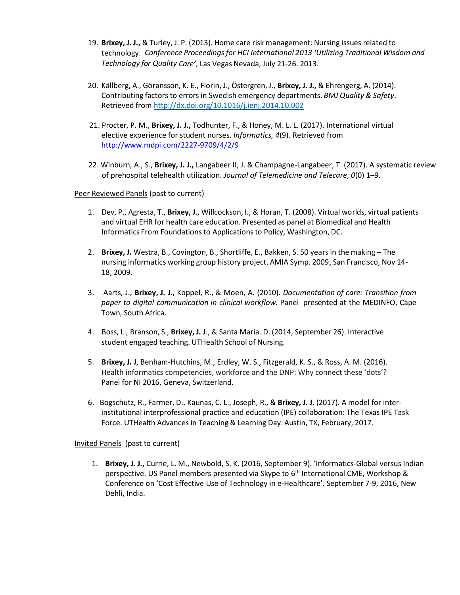- 19. **Brixey, J. J.,** & Turley, J. P. (2013). Home care risk management: Nursing issues related to technology. *Conference Proceedings for HCI International 2013 'Utilizing Traditional Wisdom and Technology for Quality Care'*, Las Vegas Nevada, July 21-26. 2013.
- 20. Källberg, A., Göransson, K. E., Florin, J., Östergren, J., **Brixey, J. J.,** & Ehrengerg, A. (2014). Contributing factors to errors in Swedish emergency departments. *BMJ Quality & Safety*. Retrieved fro[m http://dx.doi.org/10.1016/j.ienj.2014.10.002](http://dx.doi.org/10.1016/j.ienj.2014.10.002)
- 21. Procter, P. M., **Brixey, J. J.,** Todhunter, F., & Honey, M. L. L. (2017). International virtual elective experience for student nurses. *Informatics, 4*(9). Retrieved from <http://www.mdpi.com/2227-9709/4/2/9>
- 22. Winburn, A., S., **Brixey, J. J.,** Langabeer II, J. & Champagne-Langabeer, T. (2017). A systematic review of prehospital telehealth utilization. *Journal of Telemedicine and Telecare*, *0*(0) 1–9.

Peer Reviewed Panels (past to current)

- 1. Dev, P., Agresta, T., **Brixey, J**., Willcockson, I., & Horan, T. (2008). Virtual worlds, virtual patients and virtual EHR for health care education. Presented as panel at Biomedical and Health Informatics From Foundations to Applications to Policy, Washington, DC.
- 2. **Brixey, J.** Westra, B., Covington, B., Shortliffe, E., Bakken, S. 50 years in the making The nursing informatics working group history project. AMIA Symp. 2009, San Francisco, Nov 14- 18, 2009.
- 3. Aarts, J., **Brixey, J. J**., Koppel, R., & Moen, A. (2010). *Documentation of care: Transition from paper to digital communication in clinical workflow.* Panel presented at the MEDINFO, Cape Town, South Africa.
- 4. Boss, L., Branson, S., **Brixey, J. J**., & Santa Maria. D. (2014, September 26). Interactive student engaged teaching. UTHealth School of Nursing.
- 5. **Brixey, J. J**, Benham-Hutchins, M., Erdley, W. S., Fitzgerald, K. S., & Ross, A. M. (2016). Health informatics competencies, workforce and the DNP: Why connect these 'dots'? Panel for NI 2016, Geneva, Switzerland.
- 6. Bogschutz, R., Farmer, D., Kaunas, C. L., Joseph, R., & **Brixey, J. J.** (2017). A model for interinstitutional interprofessional practice and education (IPE) collaboration: The Texas IPE Task Force. UTHealth Advances in Teaching & Learning Day. Austin, TX, February, 2017.

Invited Panels (past to current)

1. **Brixey, J. J.,** Currie, L. M., Newbold, S. K. (2016, September 9). 'Informatics-Global versus Indian perspective. US Panel members presented via Skype to 6<sup>th</sup> International CME, Workshop & Conference on 'Cost Effective Use of Technology in e-Healthcare'. September 7-9, 2016, New Dehli, India.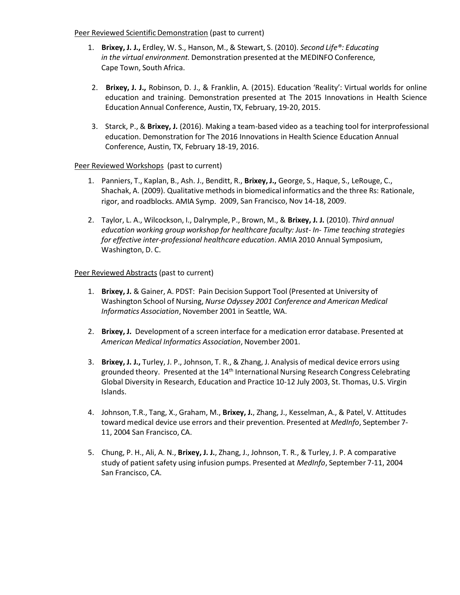Peer Reviewed Scientific Demonstration (past to current)

- 1. **Brixey, J. J.,** Erdley, W. S., Hanson, M., & Stewart, S. (2010). *Second Life®: Educating in the virtual environment.* Demonstration presented at the MEDINFO Conference, Cape Town, South Africa.
- 2. **Brixey, J. J.,** Robinson, D. J., & Franklin, A. (2015). Education 'Reality': Virtual worlds for online education and training. Demonstration presented at The 2015 Innovations in Health Science Education Annual Conference, Austin, TX, February, 19-20, 2015.
- 3. Starck, P., & **Brixey, J.** (2016). Making a team-based video as a teaching tool for interprofessional education. Demonstration for The 2016 Innovations in Health Science Education Annual Conference, Austin, TX, February 18-19, 2016.

## Peer Reviewed Workshops (past to current)

- 1. Panniers, T., Kaplan, B., Ash. J., Benditt, R., **Brixey, J.,** George, S., Haque, S., LeRouge, C., Shachak, A. (2009). Qualitative methods in biomedical informatics and the three Rs: Rationale, rigor, and roadblocks. AMIA Symp. 2009, San Francisco, Nov 14-18, 2009.
- 2. Taylor, L. A., Wilcockson, I., Dalrymple, P., Brown, M., & **Brixey, J. J.** (2010). *Third annual education working group workshop for healthcare faculty: Just- In- Time teaching strategies for effective inter-professional healthcare education*. AMIA 2010 Annual Symposium, Washington, D. C.

## Peer Reviewed Abstracts (past to current)

- 1. **Brixey, J.** & Gainer, A. PDST: Pain Decision Support Tool (Presented at University of Washington School of Nursing, *Nurse Odyssey 2001 Conference and American Medical Informatics Association*, November 2001 in Seattle, WA.
- 2. **Brixey, J.** Development of a screen interface for a medication error database. Presented at *American Medical Informatics Association*, November 2001.
- 3. **Brixey, J. J.,** Turley, J. P., Johnson, T. R., & Zhang, J. Analysis of medical device errors using grounded theory. Presented at the 14<sup>th</sup> International Nursing Research Congress Celebrating Global Diversity in Research, Education and Practice 10-12 July 2003, St. Thomas, U.S. Virgin Islands.
- 4. Johnson, T.R., Tang, X., Graham, M., **Brixey, J.**, Zhang, J., Kesselman, A., & Patel, V. Attitudes toward medical device use errors and their prevention. Presented at *MedInfo*, September 7- 11, 2004 San Francisco, CA.
- 5. Chung, P. H., Ali, A. N., **Brixey, J. J.**, Zhang, J., Johnson, T. R., & Turley, J. P. A comparative study of patient safety using infusion pumps. Presented at *MedInfo*, September 7-11, 2004 San Francisco, CA.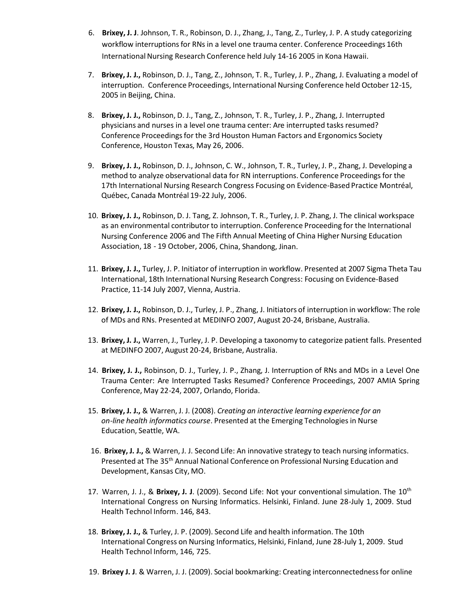- 6. **Brixey, J. J**. Johnson, T. R., Robinson, D. J., Zhang, J., Tang, Z., Turley, J. P. A study categorizing workflow interruptionsfor RNs in a level one trauma center. Conference Proceedings 16th International Nursing Research Conference held July 14-16 2005 in Kona Hawaii.
- 7. **Brixey, J. J.,** Robinson, D. J., Tang, Z., Johnson, T. R., Turley, J. P., Zhang, J. Evaluating a model of interruption. Conference Proceedings, International Nursing Conference held October 12-15, 2005 in Beijing, China.
- 8. **Brixey, J. J.,** Robinson, D. J., Tang, Z., Johnson, T. R., Turley, J. P., Zhang, J. Interrupted physicians and nurses in a level one trauma center: Are interrupted tasks resumed? Conference Proceedings for the 3rd Houston Human Factors and Ergonomics Society Conference, Houston Texas, May 26, 2006.
- 9. **Brixey, J. J.,** Robinson, D. J., Johnson, C. W., Johnson, T. R., Turley, J. P., Zhang, J. Developing a method to analyze observational data for RN interruptions. Conference Proceedingsfor the 17th International Nursing Research Congress Focusing on Evidence-Based Practice Montréal, Québec, Canada Montréal 19-22 July, 2006.
- 10. **Brixey, J. J.,** Robinson, D. J. Tang, Z. Johnson, T. R., Turley, J. P. Zhang, J. The clinical workspace as an environmental contributor to interruption. Conference Proceeding for the International Nursing Conference 2006 and The Fifth Annual Meeting of China Higher Nursing Education Association, 18 - 19 October, 2006, China, Shandong, Jinan.
- 11. **Brixey, J. J.,** Turley, J. P. Initiator of interruption in workflow. Presented at 2007 Sigma Theta Tau International, 18th International Nursing Research Congress: Focusing on Evidence-Based Practice, 11-14 July 2007, Vienna, Austria.
- 12. **Brixey, J. J.,** Robinson, D. J., Turley, J. P., Zhang, J. Initiators of interruption in workflow: The role of MDs and RNs. Presented at MEDINFO 2007, August 20-24, Brisbane, Australia.
- 13. **Brixey, J. J.,** Warren, J., Turley, J. P. Developing a taxonomy to categorize patient falls. Presented at MEDINFO 2007, August 20-24, Brisbane, Australia.
- 14. **Brixey, J. J.,** Robinson, D. J., Turley, J. P., Zhang, J. Interruption of RNs and MDs in a Level One Trauma Center: Are Interrupted Tasks Resumed? Conference Proceedings, 2007 AMIA Spring Conference, May 22-24, 2007, Orlando, Florida.
- 15. **Brixey, J. J.,** & Warren, J. J. (2008). *Creating an interactive learning experience for an on-line health informatics course*. Presented at the Emerging Technologies in Nurse Education, Seattle, WA.
- 16. **Brixey, J. J.,** & Warren, J. J. Second Life: An innovative strategy to teach nursing informatics. Presented at The 35th Annual National Conference on Professional Nursing Education and Development, Kansas City, MO.
- 17. Warren, J. J., & Brixey, J. J. (2009). Second Life: Not your conventional simulation. The 10<sup>th</sup> International Congress on Nursing Informatics. Helsinki, Finland. June 28-July 1, 2009. Stud Health Technol Inform. 146, 843.
- 18. **Brixey, J. J.,** & Turley, J. P. (2009). Second Life and health information. The 10th International Congress on Nursing Informatics, Helsinki, Finland, June 28-July 1, 2009. Stud Health Technol Inform, 146, 725.
- 19. **Brixey J. J**. & Warren, J. J. (2009). Social bookmarking: Creating interconnectednessfor online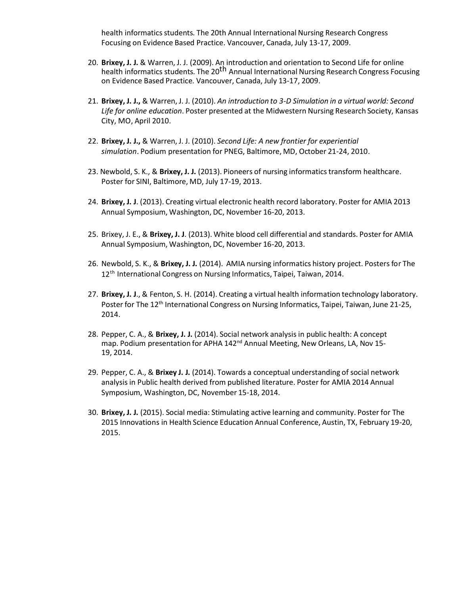health informatics students. The 20th Annual International Nursing Research Congress Focusing on Evidence Based Practice. Vancouver, Canada, July 13-17, 2009.

- 20. **Brixey, J. J.** & Warren, J. J. (2009). An introduction and orientation to Second Life for online health informatics students. The 20<sup>th</sup> Annual International Nursing Research Congress Focusing on Evidence Based Practice. Vancouver, Canada, July 13-17, 2009.
- 21. **Brixey, J. J.,** & Warren, J. J. (2010). *An introduction to 3-D Simulation in a virtual world: Second Life for online education*. Poster presented at the Midwestern Nursing Research Society, Kansas City, MO, April 2010.
- 22. **Brixey, J. J.,** & Warren, J. J. (2010). *Second Life: A new frontier for experiential simulation*. Podium presentation for PNEG, Baltimore, MD, October 21-24, 2010.
- 23. Newbold, S. K., & **Brixey, J. J.** (2013). Pioneers of nursing informaticstransform healthcare. Poster for SINI, Baltimore, MD, July 17-19, 2013.
- 24. **Brixey, J. J**. (2013). Creating virtual electronic health record laboratory. Poster for AMIA 2013 Annual Symposium, Washington, DC, November 16-20, 2013.
- 25. Brixey, J. E., & **Brixey, J. J**. (2013). White blood cell differential and standards. Poster for AMIA Annual Symposium, Washington, DC, November 16-20, 2013.
- 26. Newbold, S. K., & **Brixey, J. J.** (2014). AMIA nursing informatics history project. Posters for The 12<sup>th</sup> International Congress on Nursing Informatics, Taipei, Taiwan, 2014.
- 27. **Brixey, J. J**., & Fenton, S. H. (2014). Creating a virtual health information technology laboratory. Poster for The 12<sup>th</sup> International Congress on Nursing Informatics, Taipei, Taiwan, June 21-25, 2014.
- 28. Pepper, C. A., & **Brixey, J. J.** (2014). Social network analysis in public health: A concept map. Podium presentation for APHA 142<sup>nd</sup> Annual Meeting, New Orleans, LA, Nov 15-19, 2014.
- 29. Pepper, C. A., & **Brixey J. J.** (2014). Towards a conceptual understanding of social network analysisin Public health derived from published literature. Poster for AMIA 2014 Annual Symposium, Washington, DC, November 15-18, 2014.
- 30. **Brixey, J. J.** (2015). Social media: Stimulating active learning and community. Poster for The 2015 Innovations in Health Science Education Annual Conference, Austin, TX, February 19-20, 2015.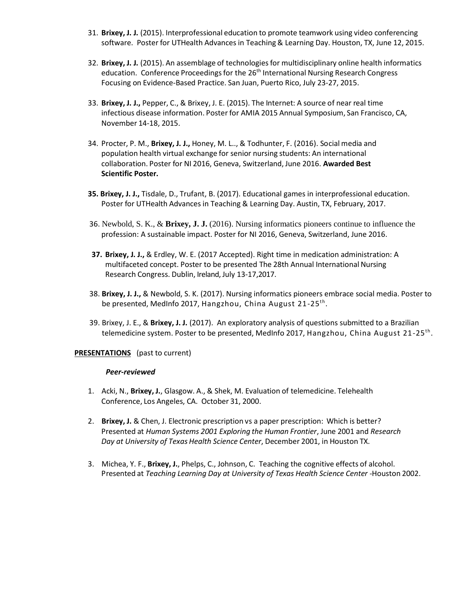- 31. **Brixey, J. J.** (2015). Interprofessional education to promote teamwork using video conferencing software. Poster for UTHealth Advances in Teaching& Learning Day. Houston, TX, June 12, 2015.
- 32. **Brixey, J. J.** (2015). An assemblage of technologiesfor multidisciplinary online health informatics education. Conference Proceedings for the 26<sup>th</sup> International Nursing Research Congress Focusing on Evidence-Based Practice. San Juan, Puerto Rico, July 23-27, 2015.
- 33. **Brixey, J. J.,** Pepper, C., & Brixey, J. E. (2015). The Internet: A source of near real time infectious disease information. Posterfor AMIA 2015 Annual Symposium, San Francisco, CA, November 14-18, 2015.
- 34. Procter, P. M., **Brixey, J. J.,** Honey, M. L.., & Todhunter, F. (2016). Socialmedia and population health virtual exchange for senior nursing students: An international collaboration. Poster for NI 2016, Geneva, Switzerland, June 2016. **Awarded Best Scientific Poster.**
- **35. Brixey, J. J.,** Tisdale, D., Trufant, B. (2017). Educational games in interprofessional education. Poster for UTHealth Advances in Teaching & Learning Day. Austin, TX, February, 2017.
- 36. Newbold, S. K., & **Brixey, J. J.** (2016). Nursing informatics pioneers continue to influence the profession: A sustainable impact. Poster for NI 2016, Geneva, Switzerland, June 2016.
- **37. Brixey, J. J.,** & Erdley, W. E. (2017 Accepted). Right time in medication administration: A multifaceted concept. Poster to be presented The 28th Annual International Nursing Research Congress. Dublin, Ireland, July 13-17,2017.
- 38. **Brixey, J. J.,** & Newbold, S. K. (2017). Nursing informatics pioneers embrace social media. Poster to be presented, MedInfo 2017, Hangzhou, China August 21-25<sup>th</sup>.
- 39. Brixey, J. E., & **Brixey, J. J.** (2017). An exploratory analysis of questions submitted to a Brazilian telemedicine system. Poster to be presented, MedInfo 2017, Hangzhou, China August 21-25<sup>th</sup>.

#### **PRESENTATIONS** (past to current)

#### *Peer-reviewed*

- 1. Acki, N., **Brixey, J.**, Glasgow. A., & Shek, M. Evaluation of telemedicine. Telehealth Conference, Los Angeles, CA. October 31, 2000.
- 2. **Brixey, J.** & Chen, J. Electronic prescription vs a paper prescription: Which is better? Presented at *Human Systems 2001 Exploring the Human Frontier*, June 2001 and *Research Day at University of Texas Health Science Center*, December 2001, in Houston TX.
- 3. Michea, Y. F., **Brixey, J.**, Phelps, C., Johnson, C. Teaching the cognitive effects of alcohol. Presented at *Teaching Learning Day at University of Texas Health Science Center* -Houston 2002.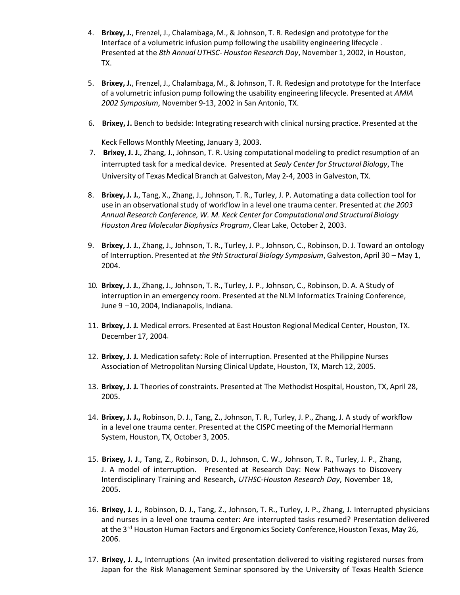- 4. **Brixey, J.**, Frenzel, J., Chalambaga, M., & Johnson, T. R. Redesign and prototype for the Interface of a volumetric infusion pump following the usability engineering lifecycle . Presented at the *8th Annual UTHSC- Houston Research Day*, November 1, 2002, in Houston, TX.
- 5. **Brixey, J.**, Frenzel, J., Chalambaga, M., & Johnson, T. R. Redesign and prototype for the Interface of a volumetric infusion pump following the usability engineering lifecycle. Presented at *AMIA 2002 Symposium*, November 9-13, 2002 in San Antonio, TX.
- 6. **Brixey, J.** Bench to bedside: Integrating research with clinical nursing practice. Presented at the

Keck Fellows Monthly Meeting, January 3, 2003.

- 7. **Brixey, J. J.**, Zhang, J., Johnson, T. R. Using computational modeling to predict resumption of an interrupted task for a medical device. Presented at *Sealy Center for Structural Biology*, The University of Texas Medical Branch at Galveston, May 2-4, 2003 in Galveston, TX.
- 8. **Brixey, J. J.**, Tang, X., Zhang, J., Johnson, T. R., Turley, J. P. Automating a data collection tool for use in an observationalstudy of workflow in a level one trauma center. Presented at *the 2003 Annual Research Conference, W. M. Keck Center for Computational and Structural Biology Houston Area Molecular Biophysics Program*, Clear Lake, October 2, 2003.
- 9. **Brixey, J. J.**, Zhang, J., Johnson, T. R., Turley, J. P., Johnson, C., Robinson, D. J. Toward an ontology of Interruption. Presented at *the 9th Structural Biology Symposium*, Galveston, April 30 – May 1, 2004.
- 10. **Brixey, J. J.**, Zhang, J., Johnson, T. R., Turley, J. P., Johnson, C., Robinson, D. A. A Study of interruption in an emergency room. Presented at the NLM Informatics Training Conference, June 9 –10, 2004, Indianapolis, Indiana.
- 11. **Brixey, J. J.** Medical errors. Presented at East Houston Regional Medical Center, Houston, TX. December 17, 2004.
- 12. **Brixey, J. J.** Medication safety: Role of interruption. Presented at the Philippine Nurses Association of Metropolitan Nursing Clinical Update, Houston, TX, March 12, 2005.
- 13. **Brixey, J. J.** Theories of constraints. Presented at The Methodist Hospital, Houston, TX, April 28, 2005.
- 14. **Brixey, J. J.,** Robinson, D. J., Tang, Z., Johnson, T. R., Turley, J. P., Zhang, J. A study of workflow in a level one trauma center. Presented at the CISPC meeting of the Memorial Hermann System, Houston, TX, October 3, 2005.
- 15. **Brixey, J. J**., Tang, Z., Robinson, D. J., Johnson, C. W., Johnson, T. R., Turley, J. P., Zhang, J. A model of interruption. Presented at Research Day: New Pathways to Discovery Interdisciplinary Training and Research**,** *UTHSC-Houston Research Day*, November 18, 2005.
- 16. **Brixey, J. J**., Robinson, D. J., Tang, Z., Johnson, T. R., Turley, J. P., Zhang, J. Interrupted physicians and nurses in a level one trauma center: Are interrupted tasks resumed? Presentation delivered at the 3<sup>rd</sup> Houston Human Factors and Ergonomics Society Conference, Houston Texas, May 26, 2006.
- 17. **Brixey, J. J.,** Interruptions (An invited presentation delivered to visiting registered nurses from Japan for the Risk Management Seminar sponsored by the University of Texas Health Science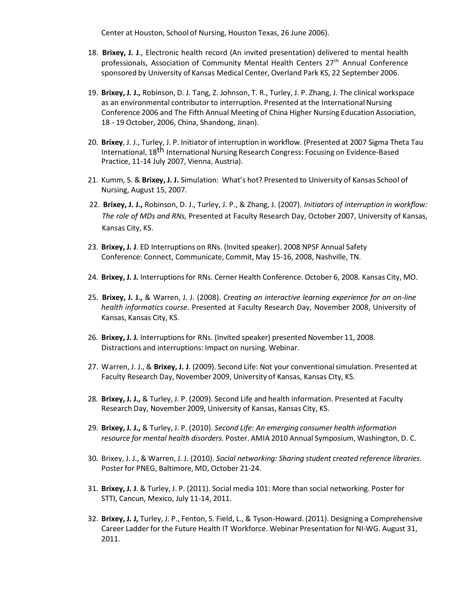Center at Houston, School of Nursing, Houston Texas, 26 June 2006).

- 18. **Brixey, J. J**., Electronic health record (An invited presentation) delivered to mental health professionals, Association of Community Mental Health Centers 27<sup>th</sup> Annual Conference sponsored by University of Kansas Medical Center, Overland Park KS, 22 September 2006.
- 19. **Brixey, J. J.,** Robinson, D. J. Tang, Z. Johnson, T. R., Turley, J. P. Zhang, J. The clinical workspace as an environmental contributor to interruption. Presented at the International Nursing Conference 2006 and The Fifth Annual Meeting of China Higher Nursing Education Association, 18 - 19 October, 2006, China, Shandong, Jinan).
- 20. **Brixey**, J. J., Turley, J. P. Initiator of interruption in workflow. (Presented at 2007 Sigma Theta Tau International, 18<sup>th</sup> International Nursing Research Congress: Focusing on Evidence-Based Practice, 11-14 July 2007, Vienna, Austria).
- 21. Kumm, S. & **Brixey, J. J.** Simulation: What's hot? Presented to University of Kansas School of Nursing, August 15, 2007.
- 22. **Brixey, J. J.,** Robinson, D. J., Turley, J. P., & Zhang, J. (2007). *Initiators of interruption in workflow: The role of MDs and RNs,* Presented at Faculty Research Day, October 2007, University of Kansas, Kansas City, KS.
- 23. **Brixey, J. J**. ED Interruptions on RNs. (Invited speaker). 2008 NPSF Annual Safety Conference: Connect, Communicate, Commit, May 15-16, 2008, Nashville, TN.
- 24. **Brixey, J. J.** Interruptionsfor RNs. Cerner Health Conference. October 6, 2008. Kansas City, MO.
- 25. **Brixey, J. J.,** & Warren, J. J. (2008). *Creating an interactive learning experience for an on-line health informatics course*. Presented at Faculty Research Day, November 2008, University of Kansas, Kansas City, KS.
- 26. **Brixey, J. J.** Interruptionsfor RNs. (Invited speaker) presented November 11, 2008. Distractions and interruptions: Impact on nursing. Webinar.
- 27. Warren, J. J., & **Brixey, J. J**. (2009). Second Life: Not your conventionalsimulation. Presented at Faculty Research Day, November 2009, University of Kansas, Kansas City, KS.
- 28. **Brixey, J. J.,** & Turley, J. P. (2009). Second Life and health information. Presented at Faculty Research Day, November 2009, University of Kansas, Kansas City, KS.
- 29. **Brixey, J. J.,** & Turley, J. P. (2010). *Second Life: An emerging consumer health information resource for mental health disorders.* Poster. AMIA 2010 Annual Symposium, Washington, D. C.
- 30. Brixey, J. J., & Warren, J. J. (2010). *Social networking: Sharing student created reference libraries.* Poster for PNEG, Baltimore, MD, October 21-24.
- 31. **Brixey, J. J**. & Turley, J. P. (2011). Social media 101: More than social networking. Poster for STTI, Cancun, Mexico, July 11-14, 2011.
- 32. **Brixey, J. J,** Turley, J. P., Fenton, S. Field, L., & Tyson-Howard. (2011). Designing a Comprehensive Career Ladder for the Future Health IT Workforce. Webinar Presentation for NI-WG. August 31, 2011.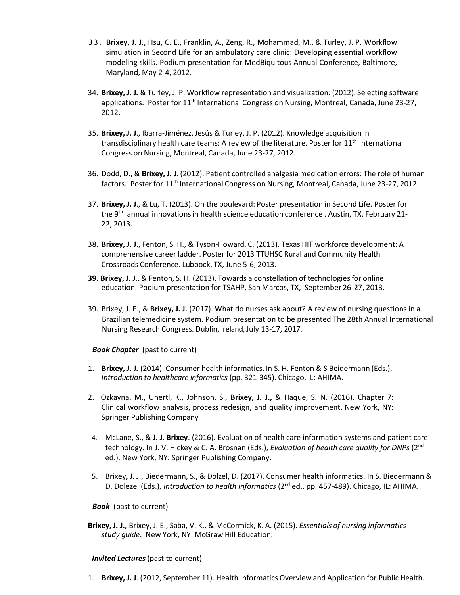- 3 3 . **Brixey, J. J**., Hsu, C. E., Franklin, A., Zeng, R., Mohammad, M., & Turley, J. P. Workflow simulation in Second Life for an ambulatory care clinic: Developing essential workflow modeling skills. Podium presentation for MedBiquitous Annual Conference, Baltimore, Maryland, May 2-4, 2012.
- 34. **Brixey, J. J.** & Turley, J. P. Workflow representation and visualization: (2012). Selecting software applications. Poster for 11<sup>th</sup> International Congress on Nursing, Montreal, Canada, June 23-27, 2012.
- 35. **Brixey, J. J**., Ibarra-Jiménez, Jesús & Turley, J. P. (2012). Knowledge acquisition in transdisciplinary health care teams: A review of the literature. Poster for 11<sup>th</sup> International Congress on Nursing, Montreal, Canada, June 23-27, 2012.
- 36. Dodd, D., & **Brixey, J. J**. (2012). Patient controlled analgesia medication errors: The role of human factors. Poster for 11<sup>th</sup> International Congress on Nursing, Montreal, Canada, June 23-27, 2012.
- 37. **Brixey, J. J**., & Lu, T. (2013). On the boulevard: Poster presentation in Second Life. Poster for the 9<sup>th</sup> annual innovations in health science education conference . Austin, TX, February 21-22, 2013.
- 38. **Brixey, J. J**., Fenton, S. H., & Tyson-Howard, C. (2013). Texas HIT workforce development: A comprehensive career ladder. Poster for 2013 TTUHSC Rural and Community Health Crossroads Conference. Lubbock, TX, June 5-6, 2013.
- **39. Brixey, J. J**., & Fenton, S. H. (2013). Towards a constellation of technologiesfor online education. Podium presentation for TSAHP, San Marcos, TX, September 26-27, 2013.
- 39. Brixey, J. E., & **Brixey, J. J.** (2017). What do nurses ask about? A review of nursing questions in a Brazilian telemedicine system. Podium presentation to be presented The 28th Annual International Nursing Research Congress. Dublin, Ireland, July 13-17, 2017.

## *Book Chapter* (past to current)

- 1. **Brixey, J. J.** (2014). Consumer health informatics. In S. H. Fenton & S Beidermann (Eds.), *Introduction to healthcare informatics* (pp. 321-345). Chicago, IL: AHIMA.
- 2. Ozkayna, M., Unertl, K., Johnson, S., **Brixey, J. J.,** & Haque, S. N. (2016). Chapter 7: Clinical workflow analysis, process redesign, and quality improvement. New York, NY: Springer Publishing Company
- 4. McLane, S., & **J. J. Brixey**. (2016). Evaluation of health care information systems and patient care technology. In J. V. Hickey & C. A. Brosnan (Eds.), *Evaluation of health care quality for DNPs* (2 nd ed.). New York, NY: Springer Publishing Company.
- 5. Brixey, J. J., Biedermann, S., & Dolzel, D. (2017). Consumer health informatics. In S. Biedermann & D. Dolezel (Eds.), *Introduction to health informatics* (2<sup>nd</sup> ed., pp. 457-489). Chicago, IL: AHIMA.

#### *Book* (past to current)

**Brixey, J. J.,** Brixey, J. E., Saba, V. K., & McCormick, K. A. (2015). *Essentials of nursing informatics study guide*. New York, NY: McGraw Hill Education.

#### *Invited Lectures*(past to current)

1. **Brixey, J. J**. (2012, September 11). Health Informatics Overview and Application for Public Health.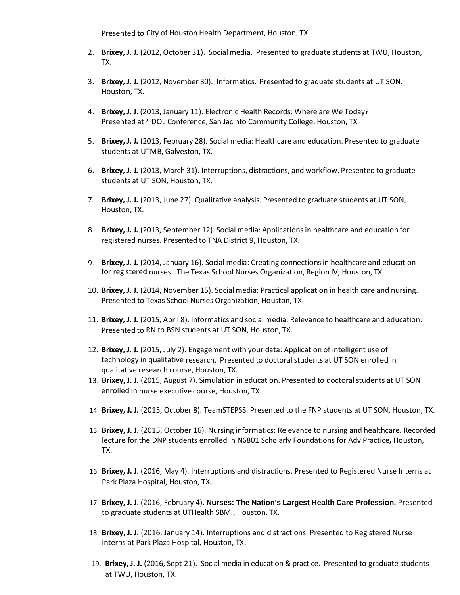Presented to City of Houston Health Department, Houston, TX.

- 2. **Brixey, J. J.** (2012, October 31). Social media. Presented to graduate students at TWU, Houston, TX.
- 3. **Brixey, J. J.** (2012, November 30). Informatics. Presented to graduate students at UT SON. Houston, TX.
- 4. **Brixey, J. J**. (2013, January 11). Electronic Health Records: Where are We Today? Presented at? DOL Conference, San Jacinto Community College, Houston, TX
- 5. **Brixey, J. J.** (2013, February 28). Social media: Healthcare and education. Presented to graduate students at UTMB, Galveston, TX.
- 6. **Brixey, J. J.** (2013, March 31). Interruptions, distractions, and workflow. Presented to graduate students at UT SON, Houston, TX.
- 7. **Brixey, J. J.** (2013, June 27). Qualitative analysis. Presented to graduate students at UT SON, Houston, TX.
- 8. **Brixey, J. J.** (2013, September 12). Social media: Applicationsin healthcare and education for registered nurses. Presented to TNA District 9, Houston, TX.
- 9. **Brixey, J. J.** (2014, January 16). Social media: Creating connectionsin healthcare and education for registered nurses. The Texas School Nurses Organization, Region IV, Houston, TX.
- 10. **Brixey, J. J.** (2014, November 15). Social media: Practical application in health care and nursing. Presented to Texas School Nurses Organization, Houston, TX.
- 11. **Brixey, J. J.** (2015, April 8). Informatics and social media: Relevance to healthcare and education. Presented to RN to BSN students at UT SON, Houston, TX.
- 12. **Brixey, J. J.** (2015, July 2). Engagement with your data: Application of intelligent use of technology in qualitative research. Presented to doctoral students at UT SON enrolled in qualitative research course, Houston, TX.
- 13. Brixey, J. J. (2015, August 7). Simulation in education. Presented to doctoral students at UT SON enrolled in nurse executive course, Houston, TX.
- 14. **Brixey, J. J.** (2015, October 8). TeamSTEPSS. Presented to the FNP students at UT SON, Houston, TX.
- 15. **Brixey, J. J.** (2015, October 16). Nursing informatics: Relevance to nursing and healthcare. Recorded lecture for the DNP students enrolled in N6801 Scholarly Foundations for Adv Practice**,** Houston, TX.
- 16. **Brixey, J. J**. (2016, May 4). Interruptions and distractions. Presented to Registered Nurse Interns at Park Plaza Hospital, Houston, TX**.**
- 17. **Brixey, J. J**. (2016, February 4). **Nurses: The Nation's Largest Health Care Profession.** Presented to graduate students at UTHealth SBMI, Houston, TX.
- 18. **Brixey, J. J.** (2016, January 14). Interruptions and distractions. Presented to Registered Nurse Interns at Park Plaza Hospital, Houston, TX.
- 19. **Brixey, J. J.** (2016, Sept 21). Social media in education & practice. Presented to graduate students at TWU, Houston, TX.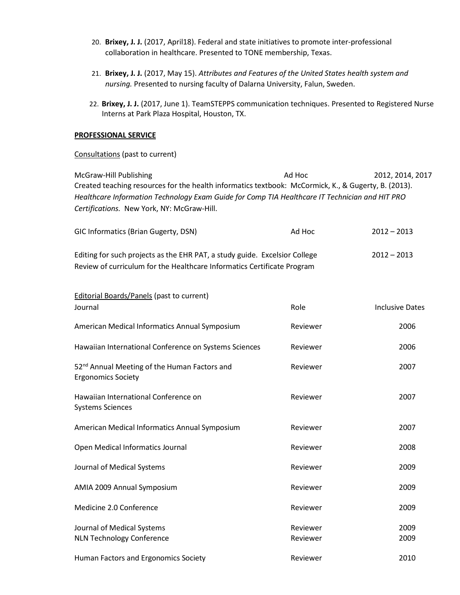- 20. **Brixey, J. J.** (2017, April18). Federal and state initiatives to promote inter-professional collaboration in healthcare. Presented to TONE membership, Texas.
- 21. **Brixey, J. J.** (2017, May 15). *Attributes and Features of the United States health system and nursing.* Presented to nursing faculty of Dalarna University, Falun, Sweden.
- 22. **Brixey, J. J.** (2017, June 1). TeamSTEPPS communication techniques. Presented to Registered Nurse Interns at Park Plaza Hospital, Houston, TX.

#### **PROFESSIONAL SERVICE**

### Consultations (past to current)

| McGraw-Hill Publishing<br>Created teaching resources for the health informatics textbook: McCormick, K., & Gugerty, B. (2013).<br>Healthcare Information Technology Exam Guide for Comp TIA Healthcare IT Technician and HIT PRO<br>Certifications. New York, NY: McGraw-Hill. | Ad Hoc   | 2012, 2014, 2017       |
|--------------------------------------------------------------------------------------------------------------------------------------------------------------------------------------------------------------------------------------------------------------------------------|----------|------------------------|
| GIC Informatics (Brian Gugerty, DSN)                                                                                                                                                                                                                                           | Ad Hoc   | $2012 - 2013$          |
| Editing for such projects as the EHR PAT, a study guide. Excelsior College<br>Review of curriculum for the Healthcare Informatics Certificate Program                                                                                                                          |          | $2012 - 2013$          |
| <b>Editorial Boards/Panels (past to current)</b><br>Journal                                                                                                                                                                                                                    | Role     | <b>Inclusive Dates</b> |
| American Medical Informatics Annual Symposium                                                                                                                                                                                                                                  | Reviewer | 2006                   |
| Hawaiian International Conference on Systems Sciences                                                                                                                                                                                                                          | Reviewer | 2006                   |
| 52 <sup>nd</sup> Annual Meeting of the Human Factors and<br><b>Ergonomics Society</b>                                                                                                                                                                                          | Reviewer | 2007                   |
| Hawaiian International Conference on<br><b>Systems Sciences</b>                                                                                                                                                                                                                | Reviewer | 2007                   |
| American Medical Informatics Annual Symposium                                                                                                                                                                                                                                  | Reviewer | 2007                   |
| Open Medical Informatics Journal                                                                                                                                                                                                                                               | Reviewer | 2008                   |
| Journal of Medical Systems                                                                                                                                                                                                                                                     | Reviewer | 2009                   |
| AMIA 2009 Annual Symposium                                                                                                                                                                                                                                                     | Reviewer | 2009                   |
| Medicine 2.0 Conference                                                                                                                                                                                                                                                        | Reviewer | 2009                   |

Journal of Medical Systems **Reviewer** 2009 **Reviewer** 2009 NLN Technology Conference **Reviewer** Reviewer 2009

Human Factors and Ergonomics Society **Reviewer** Reviewer 2010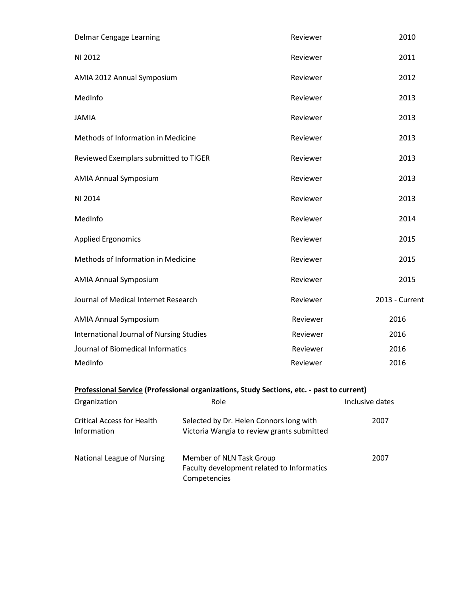| Delmar Cengage Learning                  | Reviewer | 2010           |
|------------------------------------------|----------|----------------|
| NI 2012                                  | Reviewer | 2011           |
| AMIA 2012 Annual Symposium               | Reviewer | 2012           |
| MedInfo                                  | Reviewer | 2013           |
| <b>JAMIA</b>                             | Reviewer | 2013           |
| Methods of Information in Medicine       | Reviewer | 2013           |
| Reviewed Exemplars submitted to TIGER    | Reviewer | 2013           |
| <b>AMIA Annual Symposium</b>             | Reviewer | 2013           |
| NI 2014                                  | Reviewer | 2013           |
| MedInfo                                  | Reviewer | 2014           |
| <b>Applied Ergonomics</b>                | Reviewer | 2015           |
| Methods of Information in Medicine       | Reviewer | 2015           |
| <b>AMIA Annual Symposium</b>             | Reviewer | 2015           |
| Journal of Medical Internet Research     | Reviewer | 2013 - Current |
| <b>AMIA Annual Symposium</b>             | Reviewer | 2016           |
| International Journal of Nursing Studies | Reviewer | 2016           |
| Journal of Biomedical Informatics        | Reviewer | 2016           |
| MedInfo                                  | Reviewer | 2016           |
|                                          |          |                |

# **Professional Service (Professional organizations, Study Sections, etc. - past to current)**

| Organization                                     | Role                                                                                   | Inclusive dates |
|--------------------------------------------------|----------------------------------------------------------------------------------------|-----------------|
| <b>Critical Access for Health</b><br>Information | Selected by Dr. Helen Connors long with<br>Victoria Wangia to review grants submitted  | 2007            |
| National League of Nursing                       | Member of NLN Task Group<br>Faculty development related to Informatics<br>Competencies | 2007            |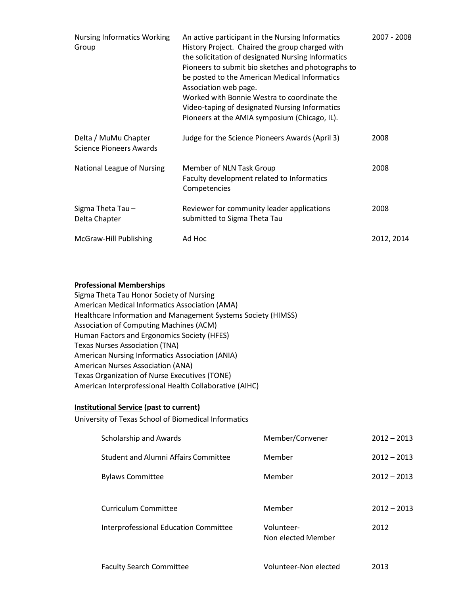| <b>Nursing Informatics Working</b><br>Group            | An active participant in the Nursing Informatics<br>History Project. Chaired the group charged with<br>the solicitation of designated Nursing Informatics<br>Pioneers to submit bio sketches and photographs to<br>be posted to the American Medical Informatics<br>Association web page.<br>Worked with Bonnie Westra to coordinate the<br>Video-taping of designated Nursing Informatics<br>Pioneers at the AMIA symposium (Chicago, IL). | 2007 - 2008 |
|--------------------------------------------------------|---------------------------------------------------------------------------------------------------------------------------------------------------------------------------------------------------------------------------------------------------------------------------------------------------------------------------------------------------------------------------------------------------------------------------------------------|-------------|
| Delta / MuMu Chapter<br><b>Science Pioneers Awards</b> | Judge for the Science Pioneers Awards (April 3)                                                                                                                                                                                                                                                                                                                                                                                             | 2008        |
| National League of Nursing                             | Member of NLN Task Group<br>Faculty development related to Informatics<br>Competencies                                                                                                                                                                                                                                                                                                                                                      | 2008        |
| Sigma Theta Tau-<br>Delta Chapter                      | Reviewer for community leader applications<br>submitted to Sigma Theta Tau                                                                                                                                                                                                                                                                                                                                                                  | 2008        |
| McGraw-Hill Publishing                                 | Ad Hoc                                                                                                                                                                                                                                                                                                                                                                                                                                      | 2012, 2014  |

### **Professional Memberships**

Sigma Theta Tau Honor Society of Nursing American Medical Informatics Association (AMA) Healthcare Information and Management Systems Society (HIMSS) Association of Computing Machines (ACM) Human Factors and Ergonomics Society (HFES) Texas Nurses Association (TNA) American Nursing Informatics Association (ANIA) American Nurses Association (ANA) Texas Organization of Nurse Executives (TONE) American Interprofessional Health Collaborative (AIHC)

#### **Institutional Service (past to current)**

University of Texas School of Biomedical Informatics

| Scholarship and Awards                      | Member/Convener                  | $2012 - 2013$ |
|---------------------------------------------|----------------------------------|---------------|
| <b>Student and Alumni Affairs Committee</b> | Member                           | $2012 - 2013$ |
| <b>Bylaws Committee</b>                     | Member                           | $2012 - 2013$ |
| Curriculum Committee                        | Member                           | $2012 - 2013$ |
| Interprofessional Education Committee       | Volunteer-<br>Non elected Member | 2012          |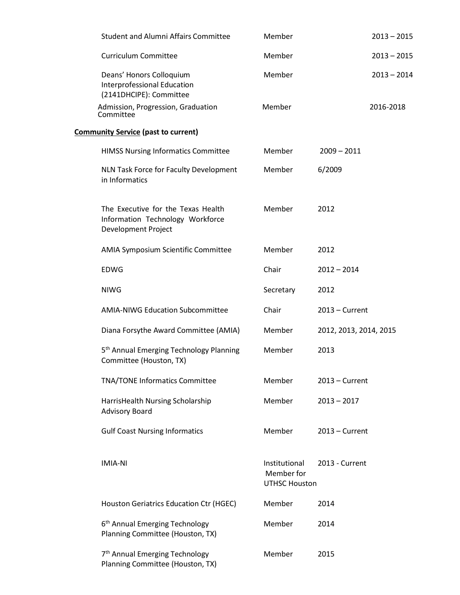| <b>Student and Alumni Affairs Committee</b>                                                   | Member                                              |                        | $2013 - 2015$ |
|-----------------------------------------------------------------------------------------------|-----------------------------------------------------|------------------------|---------------|
| <b>Curriculum Committee</b>                                                                   | Member                                              |                        | $2013 - 2015$ |
| Deans' Honors Colloquium<br>Interprofessional Education<br>(2141DHCIPE): Committee            | Member                                              |                        | $2013 - 2014$ |
| Admission, Progression, Graduation<br>Committee                                               | Member                                              |                        | 2016-2018     |
| <b>Community Service (past to current)</b>                                                    |                                                     |                        |               |
| <b>HIMSS Nursing Informatics Committee</b>                                                    | Member                                              | $2009 - 2011$          |               |
| NLN Task Force for Faculty Development<br>in Informatics                                      | Member                                              | 6/2009                 |               |
| The Executive for the Texas Health<br>Information Technology Workforce<br>Development Project | Member                                              | 2012                   |               |
| AMIA Symposium Scientific Committee                                                           | Member                                              | 2012                   |               |
| <b>EDWG</b>                                                                                   | Chair                                               | $2012 - 2014$          |               |
| <b>NIWG</b>                                                                                   | Secretary                                           | 2012                   |               |
| <b>AMIA-NIWG Education Subcommittee</b>                                                       | Chair                                               | $2013$ – Current       |               |
| Diana Forsythe Award Committee (AMIA)                                                         | Member                                              | 2012, 2013, 2014, 2015 |               |
| 5 <sup>th</sup> Annual Emerging Technology Planning<br>Committee (Houston, TX)                | Member                                              | 2013                   |               |
| TNA/TONE Informatics Committee                                                                | Member                                              | $2013$ – Current       |               |
| HarrisHealth Nursing Scholarship<br><b>Advisory Board</b>                                     | Member                                              | $2013 - 2017$          |               |
| <b>Gulf Coast Nursing Informatics</b>                                                         | Member                                              | $2013$ – Current       |               |
| <b>IMIA-NI</b>                                                                                | Institutional<br>Member for<br><b>UTHSC Houston</b> | 2013 - Current         |               |
| Houston Geriatrics Education Ctr (HGEC)                                                       | Member                                              | 2014                   |               |
| 6 <sup>th</sup> Annual Emerging Technology<br>Planning Committee (Houston, TX)                | Member                                              | 2014                   |               |
| 7 <sup>th</sup> Annual Emerging Technology<br>Planning Committee (Houston, TX)                | Member                                              | 2015                   |               |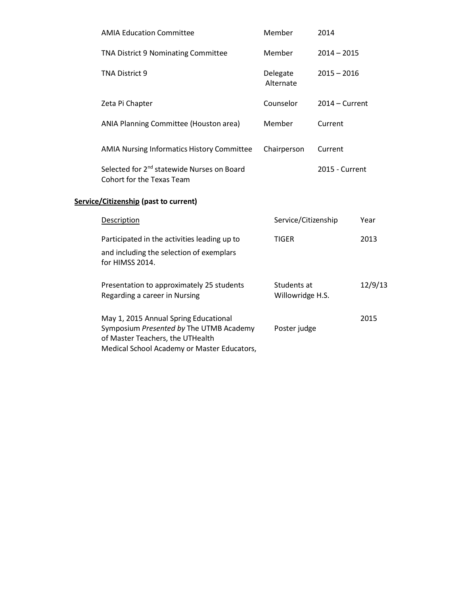| <b>AMIA Education Committee</b>                                                                                                                                     | Member                          | 2014             |         |
|---------------------------------------------------------------------------------------------------------------------------------------------------------------------|---------------------------------|------------------|---------|
| TNA District 9 Nominating Committee                                                                                                                                 | Member                          | $2014 - 2015$    |         |
| TNA District 9                                                                                                                                                      | Delegate<br>Alternate           | $2015 - 2016$    |         |
| Zeta Pi Chapter                                                                                                                                                     | Counselor                       | $2014 -$ Current |         |
| ANIA Planning Committee (Houston area)                                                                                                                              | Member                          | Current          |         |
| AMIA Nursing Informatics History Committee                                                                                                                          | Chairperson                     | Current          |         |
| Selected for 2 <sup>nd</sup> statewide Nurses on Board<br>Cohort for the Texas Team                                                                                 |                                 | 2015 - Current   |         |
| Service/Citizenship (past to current)                                                                                                                               |                                 |                  |         |
| <b>Description</b>                                                                                                                                                  | Service/Citizenship             |                  | Year    |
| Participated in the activities leading up to<br>and including the selection of exemplars<br>for HIMSS 2014.                                                         | <b>TIGER</b>                    |                  | 2013    |
| Presentation to approximately 25 students<br>Regarding a career in Nursing                                                                                          | Students at<br>Willowridge H.S. |                  | 12/9/13 |
| May 1, 2015 Annual Spring Educational<br>Symposium Presented by The UTMB Academy<br>of Master Teachers, the UTHealth<br>Medical School Academy or Master Educators, | Poster judge                    |                  | 2015    |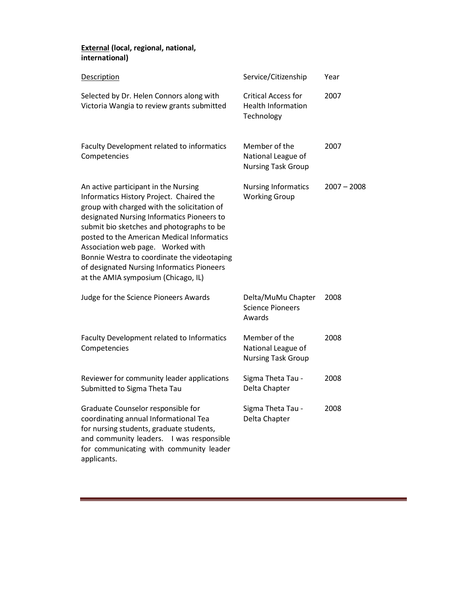## **External (local, regional, national, international)**

| <b>Description</b>                                                                                                                                                                                                                                                                                                                                                                                                                                | Service/Citizenship                                                   | Year          |
|---------------------------------------------------------------------------------------------------------------------------------------------------------------------------------------------------------------------------------------------------------------------------------------------------------------------------------------------------------------------------------------------------------------------------------------------------|-----------------------------------------------------------------------|---------------|
| Selected by Dr. Helen Connors along with<br>Victoria Wangia to review grants submitted                                                                                                                                                                                                                                                                                                                                                            | <b>Critical Access for</b><br><b>Health Information</b><br>Technology | 2007          |
| Faculty Development related to informatics<br>Competencies                                                                                                                                                                                                                                                                                                                                                                                        | Member of the<br>National League of<br><b>Nursing Task Group</b>      | 2007          |
| An active participant in the Nursing<br>Informatics History Project. Chaired the<br>group with charged with the solicitation of<br>designated Nursing Informatics Pioneers to<br>submit bio sketches and photographs to be<br>posted to the American Medical Informatics<br>Association web page. Worked with<br>Bonnie Westra to coordinate the videotaping<br>of designated Nursing Informatics Pioneers<br>at the AMIA symposium (Chicago, IL) | <b>Nursing Informatics</b><br><b>Working Group</b>                    | $2007 - 2008$ |
| Judge for the Science Pioneers Awards                                                                                                                                                                                                                                                                                                                                                                                                             | Delta/MuMu Chapter<br><b>Science Pioneers</b><br>Awards               | 2008          |
| Faculty Development related to Informatics<br>Competencies                                                                                                                                                                                                                                                                                                                                                                                        | Member of the<br>National League of<br><b>Nursing Task Group</b>      | 2008          |
| Reviewer for community leader applications<br>Submitted to Sigma Theta Tau                                                                                                                                                                                                                                                                                                                                                                        | Sigma Theta Tau -<br>Delta Chapter                                    | 2008          |
| Graduate Counselor responsible for<br>coordinating annual Informational Tea<br>for nursing students, graduate students,<br>and community leaders.<br>I was responsible<br>for communicating with community leader<br>applicants.                                                                                                                                                                                                                  | Sigma Theta Tau -<br>Delta Chapter                                    | 2008          |